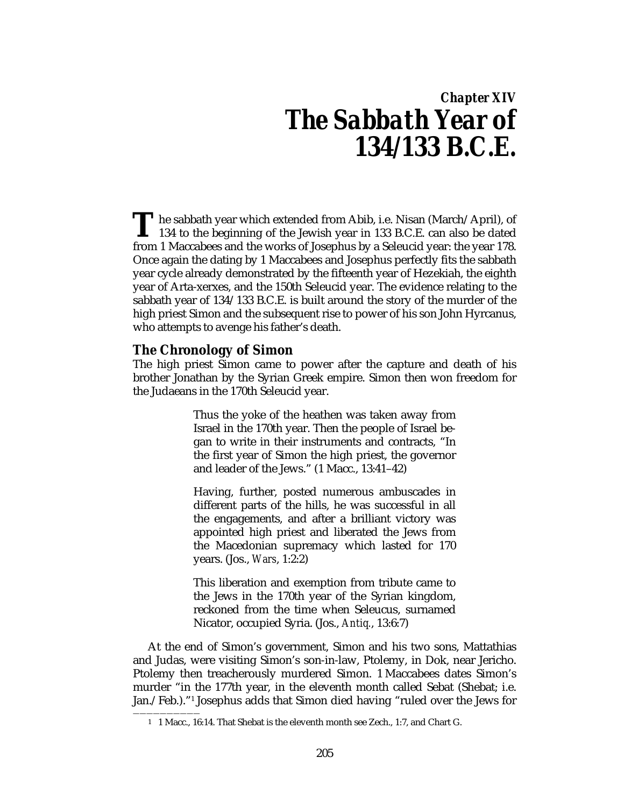# *Chapter XIV The Sabbath Year of 134/133 B.C.E.*

The sabbath year which extended from Abib, i.e. Nisan (March/April), of 134 to the beginning of the Jewish year in 133 B.C.E. can also be dated from 1 Massehese and the works of Jessehus by a Seleveid year; the year 178 134 to the beginning of the Jewish year in 133 B.C.E. can also be dated from 1 Maccabees and the works of Josephus by a Seleucid year: the year 178. Once again the dating by 1 Maccabees and Josephus perfectly fits the sabbath year cycle already demonstrated by the fifteenth year of Hezekiah, the eighth year of Arta-xerxes, and the 150th Seleucid year. The evidence relating to the sabbath year of 134/133 B.C.E. is built around the story of the murder of the high priest Simon and the subsequent rise to power of his son John Hyrcanus, who attempts to avenge his father's death.

# **The Chronology of Simon**

——————————

The high priest Simon came to power after the capture and death of his brother Jonathan by the Syrian Greek empire. Simon then won freedom for the Judaeans in the 170th Seleucid year.

> Thus the yoke of the heathen was taken away from Israel in the 170th year. Then the people of Israel began to write in their instruments and contracts, "In the first year of Simon the high priest, the governor and leader of the Jews." (1 Macc., 13:41–42)

> Having, further, posted numerous ambuscades in different parts of the hills, he was successful in all the engagements, and after a brilliant victory was appointed high priest and liberated the Jews from the Macedonian supremacy which lasted for 170 years. (Jos., *Wars*, 1:2:2)

> This liberation and exemption from tribute came to the Jews in the 170th year of the Syrian kingdom, reckoned from the time when Seleucus, surnamed Nicator, occupied Syria. (Jos., *Antiq.*, 13:6:7)

At the end of Simon's government, Simon and his two sons, Mattathias and Judas, were visiting Simon's son-in-law, Ptolemy, in Dok, near Jericho. Ptolemy then treacherously murdered Simon. 1 Maccabees dates Simon's murder "in the 177th year, in the eleventh month called Sebat (Shebat; i.e. Jan./Feb.)."1 Josephus adds that Simon died having "ruled over the Jews for

<sup>1</sup> 1 Macc., 16:14. That Shebat is the eleventh month see Zech., 1:7, and Chart G.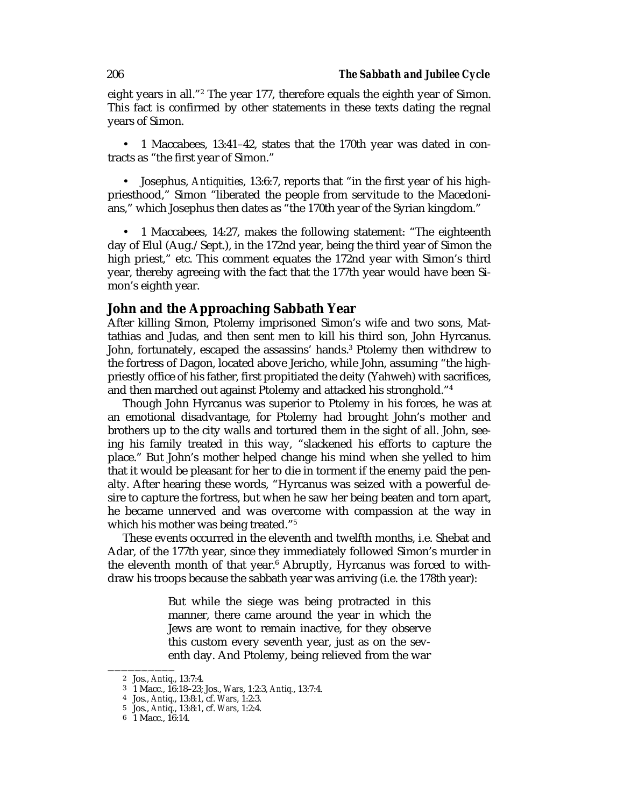eight years in all."<sup>2</sup> The year 177, therefore equals the eighth year of Simon. This fact is confirmed by other statements in these texts dating the regnal years of Simon.

• 1 Maccabees, 13:41–42, states that the 170th year was dated in contracts as "the first year of Simon."

• Josephus, *Antiquities*, 13:6:7, reports that "in the first year of his highpriesthood," Simon "liberated the people from servitude to the Macedonians," which Josephus then dates as "the 170th year of the Syrian kingdom."

• 1 Maccabees, 14:27, makes the following statement: "The eighteenth day of Elul (Aug./Sept.), in the 172nd year, being the third year of Simon the high priest," etc. This comment equates the 172nd year with Simon's third year, thereby agreeing with the fact that the 177th year would have been Simon's eighth year.

## **John and the Approaching Sabbath Year**

After killing Simon, Ptolemy imprisoned Simon's wife and two sons, Mattathias and Judas, and then sent men to kill his third son, John Hyrcanus. John, fortunately, escaped the assassins' hands.<sup>3</sup> Ptolemy then withdrew to the fortress of Dagon, located above Jericho, while John, assuming "the highpriestly office of his father, first propitiated the deity (Yahweh) with sacrifices, and then marched out against Ptolemy and attacked his stronghold."4

Though John Hyrcanus was superior to Ptolemy in his forces, he was at an emotional disadvantage, for Ptolemy had brought John's mother and brothers up to the city walls and tortured them in the sight of all. John, seeing his family treated in this way, "slackened his efforts to capture the place." But John's mother helped change his mind when she yelled to him that it would be pleasant for her to die in torment if the enemy paid the penalty. After hearing these words, "Hyrcanus was seized with a powerful desire to capture the fortress, but when he saw her being beaten and torn apart, he became unnerved and was overcome with compassion at the way in which his mother was being treated."<sup>5</sup>

These events occurred in the eleventh and twelfth months, i.e. Shebat and Adar, of the 177th year, since they immediately followed Simon's murder in the eleventh month of that year.6 Abruptly, Hyrcanus was forced to withdraw his troops because the sabbath year was arriving (i.e. the 178th year):

> But while the siege was being protracted in this manner, there came around the year in which the Jews are wont to remain inactive, for they observe this custom every seventh year, just as on the seventh day. And Ptolemy, being relieved from the war

<sup>——————————</sup> 2 Jos., *Antiq.*, 13:7:4.

<sup>3</sup> 1 Macc., 16:18–23; Jos., *Wars*, 1:2:3, *Antiq.*, 13:7:4.

<sup>4</sup> Jos., *Antiq.*, 13:8:1, cf. *Wars*, 1:2:3.

<sup>5</sup> Jos., *Antiq.*, 13:8:1, cf. *Wars*, 1:2:4.

<sup>6</sup> 1 Macc., 16:14.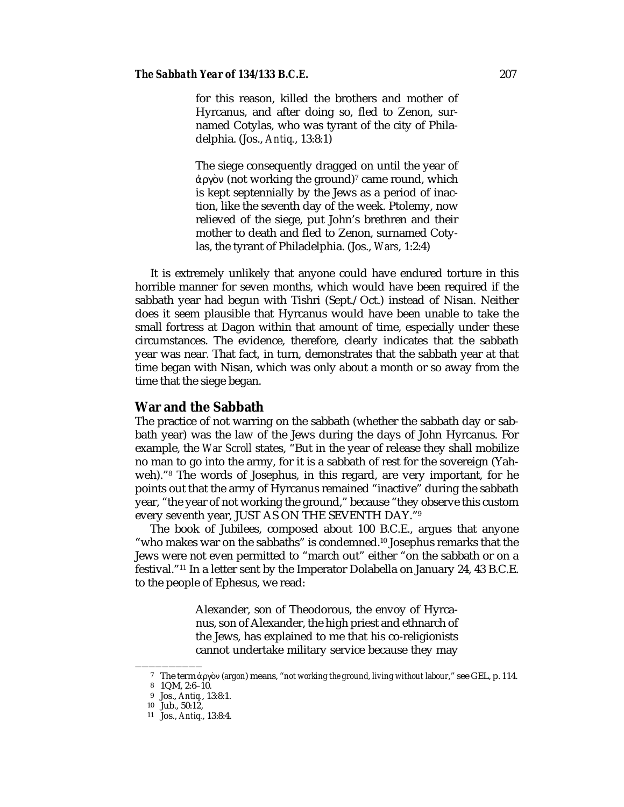#### *The Sabbath Year of 134/133 B.C.E.* 207

for this reason, killed the brothers and mother of Hyrcanus, and after doing so, fled to Zenon, surnamed Cotylas, who was tyrant of the city of Philadelphia. (Jos., *Antiq.*, 13:8:1)

The siege consequently dragged on until the year of άργὸν (not working the ground)<sup>7</sup> came round, which is kept septennially by the Jews as a period of inaction, like the seventh day of the week. Ptolemy, now relieved of the siege, put John's brethren and their mother to death and fled to Zenon, surnamed Cotylas, the tyrant of Philadelphia. (Jos., *Wars*, 1:2:4)

It is extremely unlikely that anyone could have endured torture in this horrible manner for seven months, which would have been required if the sabbath year had begun with Tishri (Sept./Oct.) instead of Nisan. Neither does it seem plausible that Hyrcanus would have been unable to take the small fortress at Dagon within that amount of time, especially under these circumstances. The evidence, therefore, clearly indicates that the sabbath year was near. That fact, in turn, demonstrates that the sabbath year at that time began with Nisan, which was only about a month or so away from the time that the siege began.

## **War and the Sabbath**

The practice of not warring on the sabbath (whether the sabbath day or sabbath year) was the law of the Jews during the days of John Hyrcanus. For example, the *War Scroll* states, "But in the year of release they shall mobilize no man to go into the army, for it is a sabbath of rest for the sovereign (Yahweh)."8 The words of Josephus, in this regard, are very important, for he points out that the army of Hyrcanus remained "inactive" during the sabbath year, "the year of not working the ground," because "they observe this custom every seventh year, JUST AS ON THE SEVENTH DAY."9

The book of Jubilees, composed about 100 B.C.E., argues that anyone "who makes war on the sabbaths" is condemned.10 Josephus remarks that the Jews were not even permitted to "march out" either "on the sabbath or on a festival."11 In a letter sent by the Imperator Dolabella on January 24, 43 B.C.E. to the people of Ephesus, we read:

> Alexander, son of Theodorous, the envoy of Hyrcanus, son of Alexander, the high priest and ethnarch of the Jews, has explained to me that his co-religionists cannot undertake military service because they may

——————————

<sup>7</sup> The term úργν (*argon*) means, "*not working the ground, living without labour*," see GEL, p. 114.

<sup>8</sup> 1QM, 2:6–10.

<sup>9</sup> Jos., *Antiq.*, 13:8:1.

<sup>10</sup> Jub., 50:12,

<sup>11</sup> Jos., *Antiq.*, 13:8:4.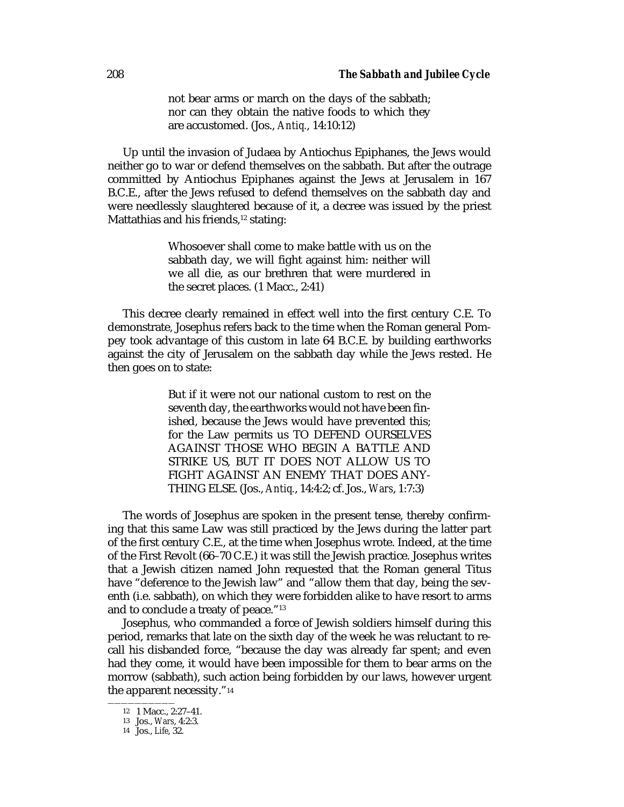not bear arms or march on the days of the sabbath; nor can they obtain the native foods to which they are accustomed. (Jos., *Antiq.*, 14:10:12)

Up until the invasion of Judaea by Antiochus Epiphanes, the Jews would neither go to war or defend themselves on the sabbath. But after the outrage committed by Antiochus Epiphanes against the Jews at Jerusalem in 167 B.C.E., after the Jews refused to defend themselves on the sabbath day and were needlessly slaughtered because of it, a decree was issued by the priest Mattathias and his friends, $12$  stating:

> Whosoever shall come to make battle with us on the sabbath day, we will fight against him: neither will we all die, as our brethren that were murdered in the secret places. (1 Macc., 2:41)

This decree clearly remained in effect well into the first century C.E. To demonstrate, Josephus refers back to the time when the Roman general Pompey took advantage of this custom in late 64 B.C.E. by building earthworks against the city of Jerusalem on the sabbath day while the Jews rested. He then goes on to state:

> But if it were not our national custom to rest on the seventh day, the earthworks would not have been finished, because the Jews would have prevented this; for the Law permits us TO DEFEND OURSELVES AGAINST THOSE WHO BEGIN A BATTLE AND STRIKE US, BUT IT DOES NOT ALLOW US TO FIGHT AGAINST AN ENEMY THAT DOES ANY-THING ELSE. (Jos., *Antiq.*, 14:4:2; cf. Jos., *Wars*, 1:7:3)

The words of Josephus are spoken in the present tense, thereby confirming that this same Law was still practiced by the Jews during the latter part of the first century C.E., at the time when Josephus wrote. Indeed, at the time of the First Revolt (66–70 C.E.) it was still the Jewish practice. Josephus writes that a Jewish citizen named John requested that the Roman general Titus have "deference to the Jewish law" and "allow them that day, being the seventh (i.e. sabbath), on which they were forbidden alike to have resort to arms and to conclude a treaty of peace."13

Josephus, who commanded a force of Jewish soldiers himself during this period, remarks that late on the sixth day of the week he was reluctant to recall his disbanded force, "because the day was already far spent; and even had they come, it would have been impossible for them to bear arms on the morrow (sabbath), such action being forbidden by our laws, however urgent the apparent necessity."14

 $\frac{12}{12}$  1 Macc., 2:27-41.

<sup>13</sup> Jos., *Wars*, 4:2:3.

<sup>14</sup> Jos., *Life*, 32.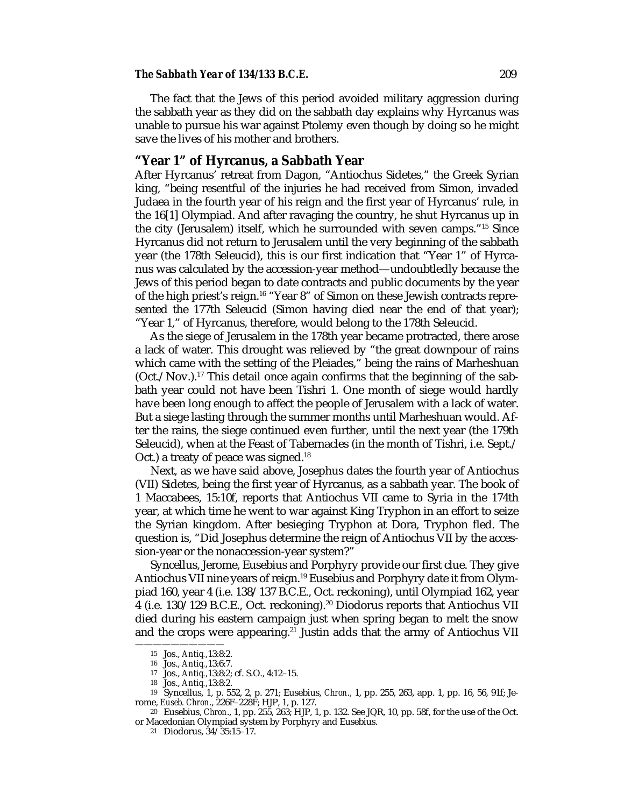#### *The Sabbath Year of 134/133 B.C.E.* 209

The fact that the Jews of this period avoided military aggression during the sabbath year as they did on the sabbath day explains why Hyrcanus was unable to pursue his war against Ptolemy even though by doing so he might save the lives of his mother and brothers.

# **"Year 1" of Hyrcanus, a Sabbath Year**

After Hyrcanus' retreat from Dagon, "Antiochus Sidetes," the Greek Syrian king, "being resentful of the injuries he had received from Simon, invaded Judaea in the fourth year of his reign and the first year of Hyrcanus' rule, in the 16[1] Olympiad. And after ravaging the country, he shut Hyrcanus up in the city (Jerusalem) itself, which he surrounded with seven camps."15 Since Hyrcanus did not return to Jerusalem until the very beginning of the sabbath year (the 178th Seleucid), this is our first indication that "Year 1" of Hyrcanus was calculated by the accession-year method—undoubtledly because the Jews of this period began to date contracts and public documents by the year of the high priest's reign.<sup>16</sup> "Year 8" of Simon on these Jewish contracts represented the 177th Seleucid (Simon having died near the end of that year); "Year 1," of Hyrcanus, therefore, would belong to the 178th Seleucid.

As the siege of Jerusalem in the 178th year became protracted, there arose a lack of water. This drought was relieved by "the great downpour of rains which came with the setting of the Pleiades," being the rains of Marheshuan  $(Oct./Nov.).<sup>17</sup> This detail once again confirms that the beginning of the sab$ bath year could not have been Tishri 1. One month of siege would hardly have been long enough to affect the people of Jerusalem with a lack of water. But a siege lasting through the summer months until Marheshuan would. After the rains, the siege continued even further, until the next year (the 179th Seleucid), when at the Feast of Tabernacles (in the month of Tishri, i.e. Sept./ Oct.) a treaty of peace was signed.<sup>18</sup>

Next, as we have said above, Josephus dates the fourth year of Antiochus (VII) Sidetes, being the first year of Hyrcanus, as a sabbath year. The book of 1 Maccabees, 15:10f, reports that Antiochus VII came to Syria in the 174th year, at which time he went to war against King Tryphon in an effort to seize the Syrian kingdom. After besieging Tryphon at Dora, Tryphon fled. The question is, "Did Josephus determine the reign of Antiochus VII by the accession-year or the nonaccession-year system?"

Syncellus, Jerome, Eusebius and Porphyry provide our first clue. They give Antiochus VII nine years of reign.19 Eusebius and Porphyry date it from Olympiad 160, year 4 (i.e. 138/137 B.C.E., Oct. reckoning), until Olympiad 162, year 4 (i.e. 130/129 B.C.E., Oct. reckoning).20 Diodorus reports that Antiochus VII died during his eastern campaign just when spring began to melt the snow and the crops were appearing.<sup>21</sup> Justin adds that the army of Antiochus VII

——————————

<sup>15</sup> Jos., *Antiq.*,13:8:2.

<sup>16</sup> Jos., *Antiq.*,13:6:7.

<sup>17</sup> Jos., *Antiq.*,13:8:2; cf. S.O., 4:12–15.

<sup>18</sup> Jos., *Antiq.*,13:8:2.

<sup>19</sup> Syncellus, 1, p. 552, 2, p. 271; Eusebius, *Chron*., 1, pp. 255, 263, app. 1, pp. 16, 56, 91f; Jerome, *Euseb. Chron*., 226F–228F; HJP, 1, p. 127.

<sup>20</sup> Eusebius, *Chron*., 1, pp. 255, 263; HJP, 1, p. 132. See JQR, 10, pp. 58f, for the use of the Oct. or Macedonian Olympiad system by Porphyry and Eusebius.

<sup>21</sup> Diodorus, 34/35:15–17.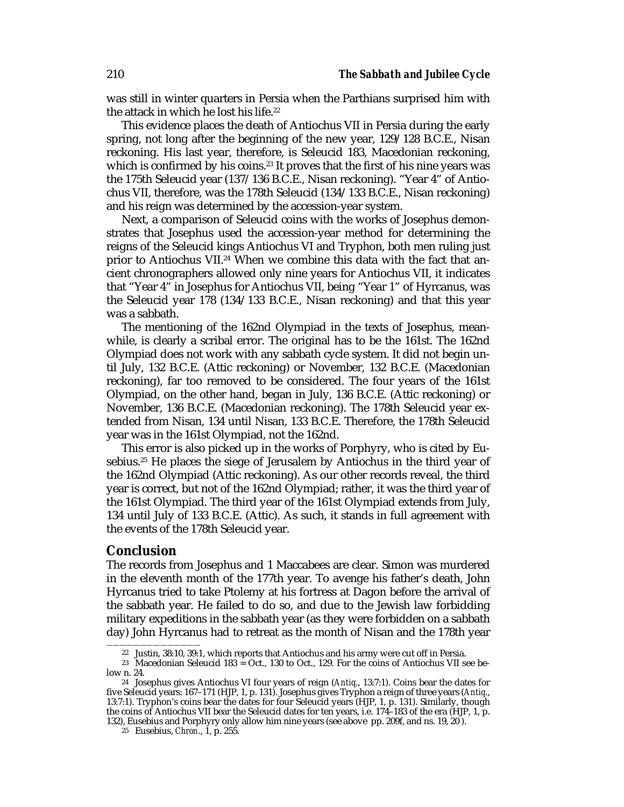was still in winter quarters in Persia when the Parthians surprised him with the attack in which he lost his life.<sup>22</sup>

This evidence places the death of Antiochus VII in Persia during the early spring, not long after the beginning of the new year, 129/128 B.C.E., Nisan reckoning. His last year, therefore, is Seleucid 183, Macedonian reckoning, which is confirmed by his coins.<sup>23</sup> It proves that the first of his nine years was the 175th Seleucid year (137/136 B.C.E., Nisan reckoning). "Year 4" of Antiochus VII, therefore, was the 178th Seleucid (134/133 B.C.E., Nisan reckoning) and his reign was determined by the accession-year system.

Next, a comparison of Seleucid coins with the works of Josephus demonstrates that Josephus used the accession-year method for determining the reigns of the Seleucid kings Antiochus VI and Tryphon, both men ruling just prior to Antiochus VII.<sup>24</sup> When we combine this data with the fact that ancient chronographers allowed only nine years for Antiochus VII, it indicates that "Year 4" in Josephus for Antiochus VII, being "Year 1" of Hyrcanus, was the Seleucid year 178 (134/133 B.C.E., Nisan reckoning) and that this year was a sabbath.

The mentioning of the 162nd Olympiad in the texts of Josephus, meanwhile, is clearly a scribal error. The original has to be the 161st. The 162nd Olympiad does not work with any sabbath cycle system. It did not begin until July, 132 B.C.E. (Attic reckoning) or November, 132 B.C.E. (Macedonian reckoning), far too removed to be considered. The four years of the 161st Olympiad, on the other hand, began in July, 136 B.C.E. (Attic reckoning) or November, 136 B.C.E. (Macedonian reckoning). The 178th Seleucid year extended from Nisan, 134 until Nisan, 133 B.C.E. Therefore, the 178th Seleucid year was in the 161st Olympiad, not the 162nd.

This error is also picked up in the works of Porphyry, who is cited by Eusebius.<sup>25</sup> He places the siege of Jerusalem by Antiochus in the third year of the 162nd Olympiad (Attic reckoning). As our other records reveal, the third year is correct, but not of the 162nd Olympiad; rather, it was the third year of the 161st Olympiad. The third year of the 161st Olympiad extends from July, 134 until July of 133 B.C.E. (Attic). As such, it stands in full agreement with the events of the 178th Seleucid year.

## **Conclusion**

The records from Josephus and 1 Maccabees are clear. Simon was murdered in the eleventh month of the 177th year. To avenge his father's death, John Hyrcanus tried to take Ptolemy at his fortress at Dagon before the arrival of the sabbath year. He failed to do so, and due to the Jewish law forbidding military expeditions in the sabbath year (as they were forbidden on a sabbath day) John Hyrcanus had to retreat as the month of Nisan and the 178th year

<sup>——————————————</sup> 22 Justin, 38:10, 39:1, which reports that Antiochus and his army were cut off in Persia.

<sup>&</sup>lt;sup>23</sup> Macedonian Seleucid 183  $=$  Oct., 130 to Oct., 129. For the coins of Antiochus VII see below n. 24.

<sup>24</sup> Josephus gives Antiochus VI four years of reign (*Antiq*., 13:7:1). Coins bear the dates for five Seleucid years: 167–171 (HJP, 1, p. 131). Josephus gives Tryphon a reign of three years (*Antiq*., 13:7:1). Tryphon's coins bear the dates for four Seleucid years (HJP, 1, p. 131). Similarly, though the coins of Antiochus VII bear the Seleucid dates for ten years, i.e. 174–183 of the era (HJP, 1, p. 132), Eusebius and Porphyry only allow him nine years (see above pp. 209f, and ns. 19, 20 ).

<sup>25</sup> Eusebius, *Chron*., 1, p. 255.